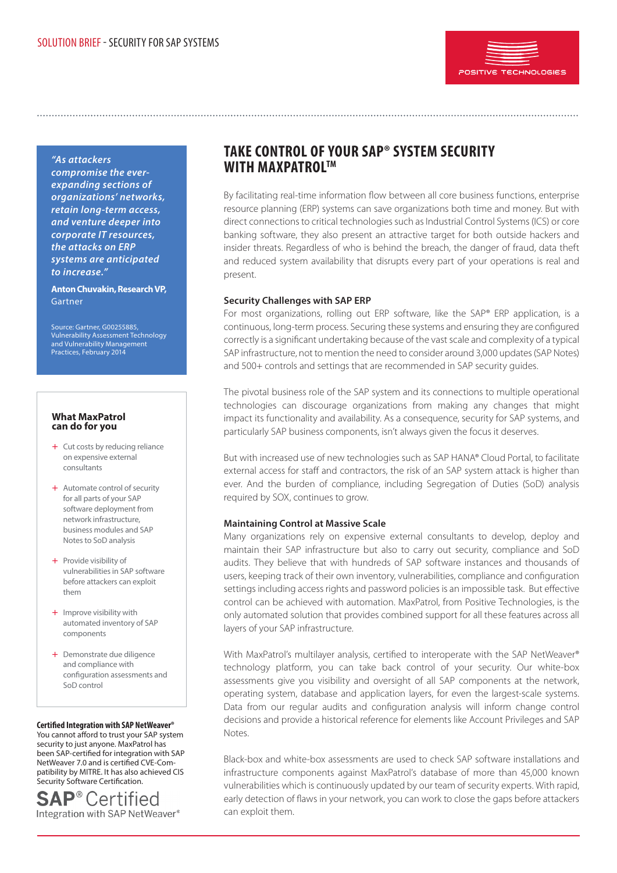

*"As attackers* 

*compromise the everexpanding sections of organizations' networks, retain long-term access, and venture deeper into corporate IT resources, the attacks on ERP systems are anticipated to increase."*

**Anton Chuvakin, Research VP,** Gartner

Source: Gartner, G00255885, Vulnerability Assessment Technology and Vulnerability Management Practices, February 2014

#### **What MaxPatrol can do for you**

- + Cut costs by reducing reliance on expensive external consultants
- $+$  Automate control of security for all parts of your SAP software deployment from network infrastructure, business modules and SAP Notes to SoD analysis
- $+$  Provide visibility of vulnerabilities in SAP software before attackers can exploit them
- $+$  Improve visibility with automated inventory of SAP components
- + Demonstrate due diligence and compliance with configuration assessments and SoD control

### **Certified Integration with SAP NetWeaver®**

You cannot afford to trust your SAP system security to just anyone. MaxPatrol has been SAP-certified for integration with SAP NetWeaver 7.0 and is certified CVE-Compatibility by MITRE. It has also achieved CIS Security Software Certification.

**SAP®Certified** Integration with SAP NetWeaver®

# **TAKE CONTROL OF YOUR SAP® SYSTEM SECURITY with MaxPatrolTM**

By facilitating real-time information flow between all core business functions, enterprise resource planning (ERP) systems can save organizations both time and money. But with direct connections to critical technologies such as Industrial Control Systems (ICS) or core banking software, they also present an attractive target for both outside hackers and insider threats. Regardless of who is behind the breach, the danger of fraud, data theft and reduced system availability that disrupts every part of your operations is real and present.

### **Security Challenges with SAP ERP**

For most organizations, rolling out ERP software, like the SAP® ERP application, is a continuous, long-term process. Securing these systems and ensuring they are configured correctly is a significant undertaking because of the vast scale and complexity of a typical SAP infrastructure, not to mention the need to consider around 3,000 updates (SAP Notes) and 500+ controls and settings that are recommended in SAP security guides.

The pivotal business role of the SAP system and its connections to multiple operational technologies can discourage organizations from making any changes that might impact its functionality and availability. As a consequence, security for SAP systems, and particularly SAP business components, isn't always given the focus it deserves.

But with increased use of new technologies such as SAP HANA® Cloud Portal, to facilitate external access for staff and contractors, the risk of an SAP system attack is higher than ever. And the burden of compliance, including Segregation of Duties (SoD) analysis required by SOX, continues to grow.

# **Maintaining Control at Massive Scale**

Many organizations rely on expensive external consultants to develop, deploy and maintain their SAP infrastructure but also to carry out security, compliance and SoD audits. They believe that with hundreds of SAP software instances and thousands of users, keeping track of their own inventory, vulnerabilities, compliance and configuration settings including access rights and password policies is an impossible task. But effective control can be achieved with automation. MaxPatrol, from Positive Technologies, is the only automated solution that provides combined support for all these features across all layers of your SAP infrastructure.

With MaxPatrol's multilayer analysis, certified to interoperate with the SAP NetWeaver® technology platform, you can take back control of your security. Our white-box assessments give you visibility and oversight of all SAP components at the network, operating system, database and application layers, for even the largest-scale systems. Data from our regular audits and configuration analysis will inform change control decisions and provide a historical reference for elements like Account Privileges and SAP Notes.

Black-box and white-box assessments are used to check SAP software installations and infrastructure components against MaxPatrol's database of more than 45,000 known vulnerabilities which is continuously updated by our team of security experts. With rapid, early detection of flaws in your network, you can work to close the gaps before attackers can exploit them.